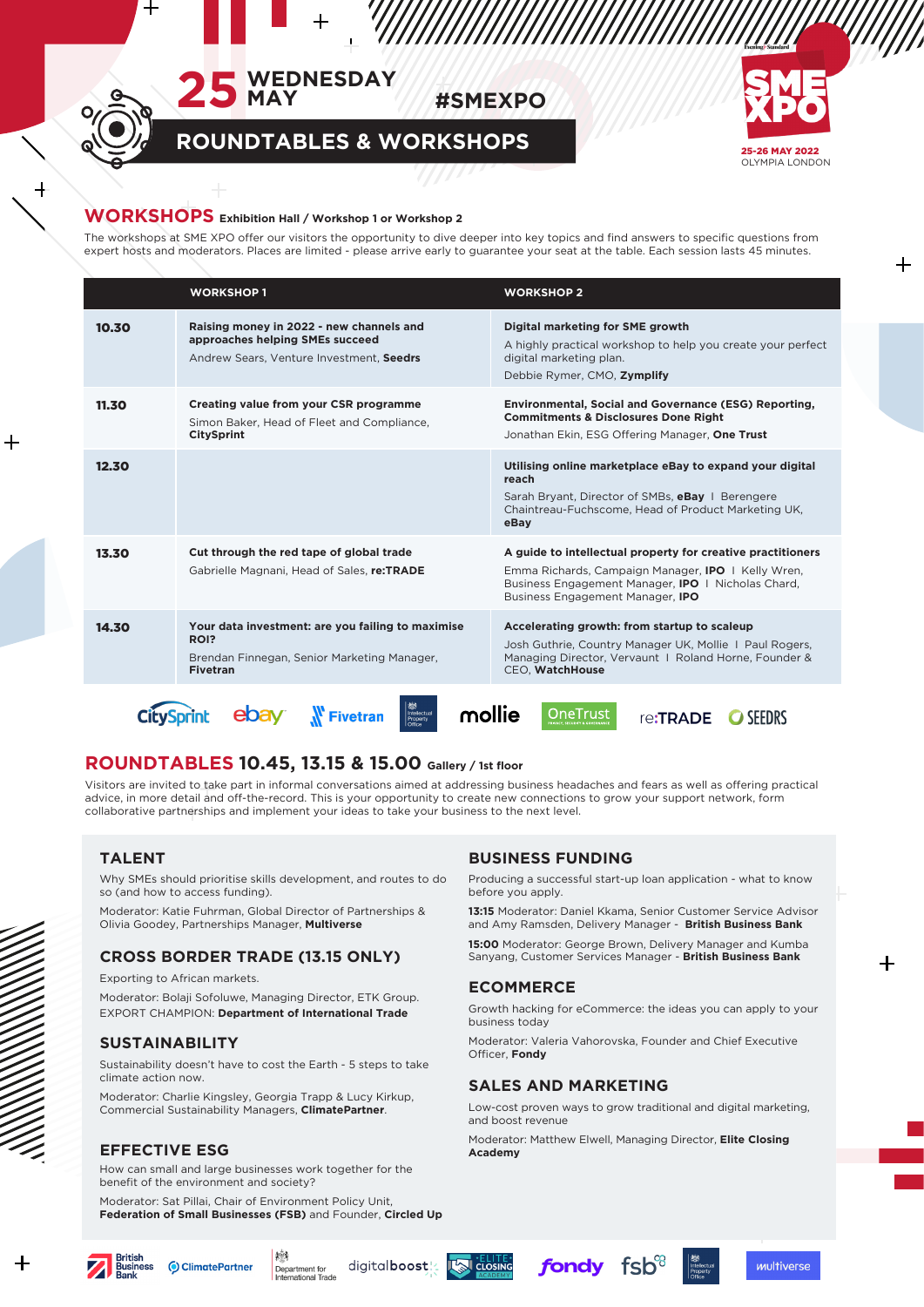





**ROUNDTABLES & WORKSHOPS**

### **WORKSHOPS Exhibition Hall / Workshop 1 or Workshop 2**

The workshops at SME XPO offer our visitors the opportunity to dive deeper into key topics and find answers to specific questions from expert hosts and moderators. Places are limited - please arrive early to guarantee your seat at the table. Each session lasts 45 minutes.

|                                                                                             | <b>WORKSHOP1</b>                                                                                                            | <b>WORKSHOP 2</b>                                                                                                                                                                                                                |
|---------------------------------------------------------------------------------------------|-----------------------------------------------------------------------------------------------------------------------------|----------------------------------------------------------------------------------------------------------------------------------------------------------------------------------------------------------------------------------|
| 10.30                                                                                       | Raising money in 2022 - new channels and<br>approaches helping SMEs succeed<br>Andrew Sears, Venture Investment, Seedrs     | Digital marketing for SME growth<br>A highly practical workshop to help you create your perfect<br>digital marketing plan.<br>Debbie Rymer, CMO, Zymplify                                                                        |
| 11.30                                                                                       | Creating value from your CSR programme<br>Simon Baker, Head of Fleet and Compliance,<br><b>CitySprint</b>                   | Environmental, Social and Governance (ESG) Reporting,<br><b>Commitments &amp; Disclosures Done Right</b><br>Jonathan Ekin, ESG Offering Manager, One Trust                                                                       |
| 12.30                                                                                       |                                                                                                                             | Utilising online marketplace eBay to expand your digital<br>reach<br>Sarah Bryant, Director of SMBs, eBay 1 Berengere<br>Chaintreau-Fuchscome, Head of Product Marketing UK,<br>eBay                                             |
| 13.30                                                                                       | Cut through the red tape of global trade<br>Gabrielle Magnani, Head of Sales, re:TRADE                                      | A guide to intellectual property for creative practitioners<br>Emma Richards, Campaign Manager, <b>IPO</b>   Kelly Wren,<br>Business Engagement Manager, <b>IPO</b>   Nicholas Chard,<br>Business Engagement Manager, <b>IPO</b> |
| 14.30                                                                                       | Your data investment: are you failing to maximise<br>ROI?<br>Brendan Finnegan, Senior Marketing Manager,<br><b>Fivetran</b> | Accelerating growth: from startup to scaleup<br>Josh Guthrie, Country Manager UK, Mollie 1 Paul Rogers,<br>Managing Director, Vervaunt 1 Roland Horne, Founder &<br>CEO, WatchHouse                                              |
| <b>OneTrust</b><br>Intellectua<br>mollie<br><b>Fivetran</b><br>re <b>:TRADF</b><br>Property |                                                                                                                             |                                                                                                                                                                                                                                  |

# **ROUNDTABLES 10.45, 13.15 & 15.00 Gallery / 1st floor**

Visitors are invited to take part in informal conversations aimed at addressing business headaches and fears as well as offering practical advice, in more detail and off-the-record. This is your opportunity to create new connections to grow your support network, form collaborative partnerships and implement your ideas to take your business to the next level.

# **TALENT**

Why SMEs should prioritise skills development, and routes to do so (and how to access funding).

Moderator: Katie Fuhrman, Global Director of Partnerships & Olivia Goodey, Partnerships Manager, **Multiverse**

# **CROSS BORDER TRADE (13.15 ONLY)**

Exporting to African markets.

Moderator: Bolaji Sofoluwe, Managing Director, ETK Group. EXPORT CHAMPION: **Department of International Trade**

## **SUSTAINABILITY**

Sustainability doesn't have to cost the Earth - 5 steps to take climate action now.

Moderator: Charlie Kingsley, Georgia Trapp & Lucy Kirkup, Commercial Sustainability Managers, **ClimatePartner**.

## **EFFECTIVE ESG**

How can small and large businesses work together for the benefit of the environment and society?

Moderator: Sat Pillai, Chair of Environment Policy Unit, **Federation of Small Businesses (FSB)** and Founder, **Circled Up**

料

# **BUSINESS FUNDING**

Producing a successful start-up loan application - what to know before you apply.

**13:15** Moderator: Daniel Kkama, Senior Customer Service Advisor and Amy Ramsden, Delivery Manager - **British Business Bank**

**15:00** Moderator: George Brown, Delivery Manager and Kumba Sanyang, Customer Services Manager - **British Business Bank**

## **ECOMMERCE**

Growth hacking for eCommerce: the ideas you can apply to your business today

Moderator: Valeria Vahorovska, Founder and Chief Executive Officer, **Fondy**

# **SALES AND MARKETING**

Low-cost proven ways to grow traditional and digital marketing, and boost revenue

Moderator: Matthew Elwell, Managing Director, **Elite Closing Academy**



 $\boldsymbol{+}$ 

digitalboost! Department for<br>International Trade